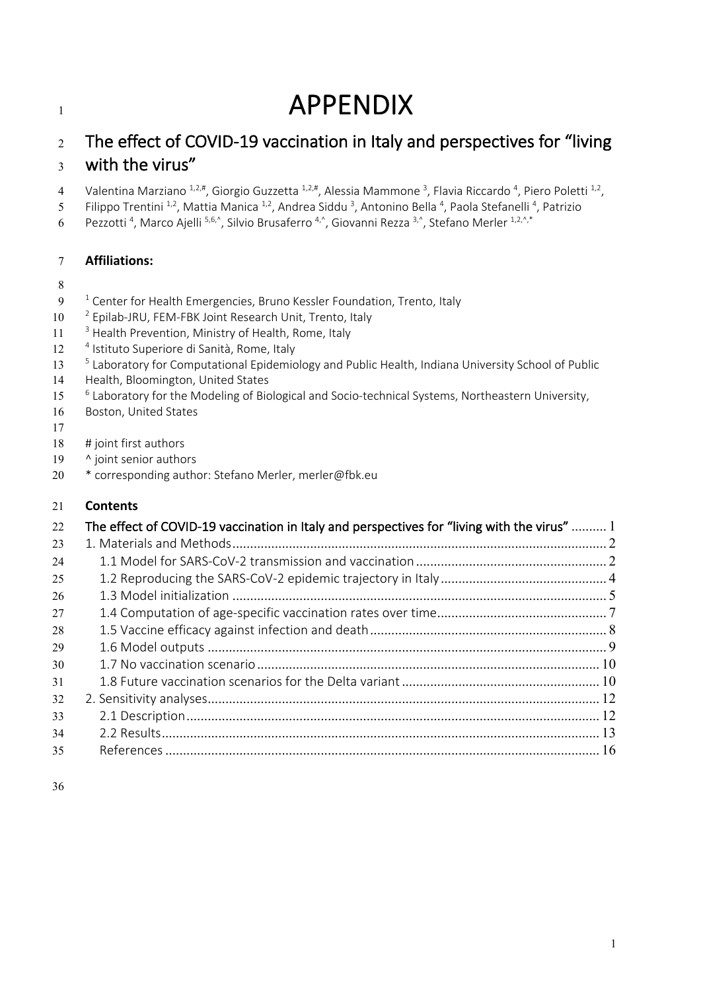# **APPENDIX**

## The effect of COVID-19 vaccination in Italy and perspectives for "living with the virus"

- 4 Valentina Marziano  $^{1,2,\#}$ , Giorgio Guzzetta  $^{1,2,\#}$ , Alessia Mammone <sup>3</sup>, Flavia Riccardo <sup>4</sup>, Piero Poletti <sup>1,2</sup>,
- 5 Filippo Trentini <sup>1,2</sup>, Mattia Manica <sup>1,2</sup>, Andrea Siddu <sup>3</sup>, Antonino Bella <sup>4</sup>, Paola Stefanelli <sup>4</sup>, Patrizio
- 6 Pezzotti<sup>4</sup>, Marco Ajelli<sup>5,6,^</sup>, Silvio Brusaferro<sup>4,^</sup>, Giovanni Rezza <sup>3,^</sup>, Stefano Merler <sup>1,2,^,\*</sup>

## **Affiliations:**

- 
- $9<sup>-1</sup>$  Center for Health Emergencies, Bruno Kessler Foundation, Trento, Italy
- 10 <sup>2</sup> Epilab-JRU, FEM-FBK Joint Research Unit, Trento, Italy
- $11<sup>3</sup>$  Health Prevention, Ministry of Health, Rome, Italy
- 12 <sup>4</sup> Istituto Superiore di Sanità, Rome, Italy
- <sup>5</sup> Laboratory for Computational Epidemiology and Public Health, Indiana University School of Public
- Health, Bloomington, United States
- <sup>6</sup> Laboratory for the Modeling of Biological and Socio-technical Systems, Northeastern University,
- Boston, United States
- 
- # joint first authors
- 19 ^ joint senior authors
- \* corresponding author: Stefano Merler, merler@fbk.eu

## **Contents**

| 22 | The effect of COVID-19 vaccination in Italy and perspectives for "living with the virus"  1 |  |
|----|---------------------------------------------------------------------------------------------|--|
| 23 |                                                                                             |  |
| 24 |                                                                                             |  |
| 25 |                                                                                             |  |
| 26 |                                                                                             |  |
| 27 |                                                                                             |  |
| 28 |                                                                                             |  |
| 29 |                                                                                             |  |
| 30 |                                                                                             |  |
| 31 |                                                                                             |  |
| 32 |                                                                                             |  |
| 33 |                                                                                             |  |
| 34 |                                                                                             |  |
| 35 |                                                                                             |  |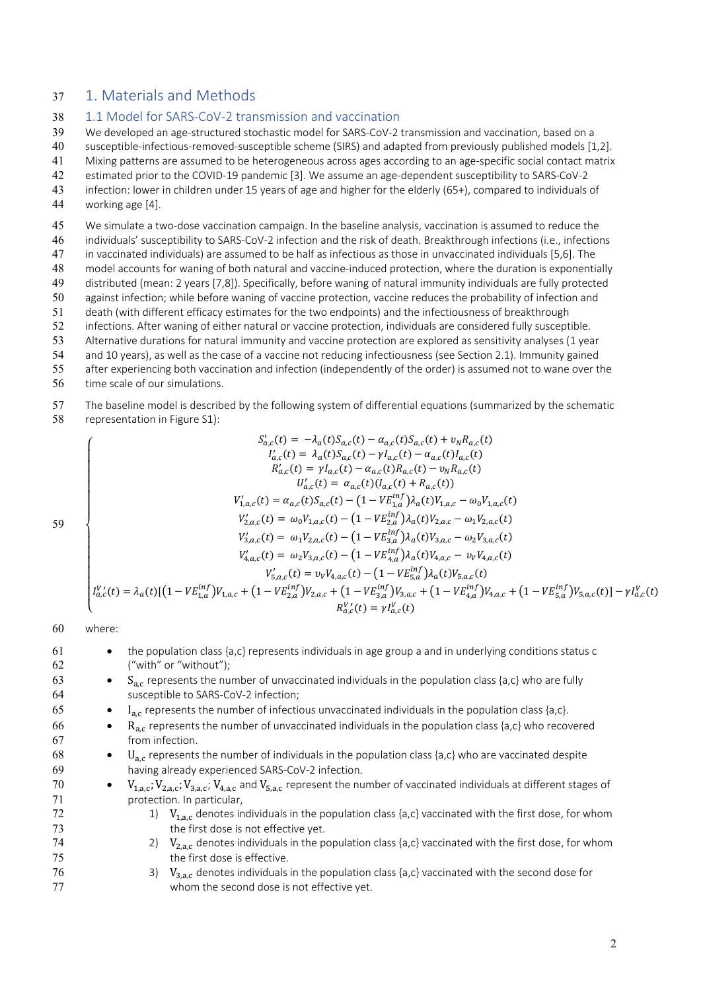## 37 1. Materials and Methods

#### 38 1.1 Model for SARS-CoV-2 transmission and vaccination

39 We developed an age-structured stochastic model for SARS-CoV-2 transmission and vaccination, based on a

- 40 susceptible-infectious-removed-susceptible scheme (SIRS) and adapted from previously published models [1,2].
- 41 Mixing patterns are assumed to be heterogeneous across ages according to an age-specific social contact matrix
- 42 estimated prior to the COVID-19 pandemic [3]. We assume an age-dependent susceptibility to SARS-CoV-2
- 43 infection: lower in children under 15 years of age and higher for the elderly (65+), compared to individuals of 44 working age [4].
- 

45 We simulate a two-dose vaccination campaign. In the baseline analysis, vaccination is assumed to reduce the

46 individuals' susceptibility to SARS-CoV-2 infection and the risk of death. Breakthrough infections (i.e., infections

47 in vaccinated individuals) are assumed to be half as infectious as those in unvaccinated individuals [5,6]. The

48 model accounts for waning of both natural and vaccine-induced protection, where the duration is exponentially 49 distributed (mean: 2 years [7,8]). Specifically, before waning of natural immunity individuals are fully protected

- 50 against infection; while before waning of vaccine protection, vaccine reduces the probability of infection and
- 51 death (with different efficacy estimates for the two endpoints) and the infectiousness of breakthrough
- 52 infections. After waning of either natural or vaccine protection, individuals are considered fully susceptible.
- 53 Alternative durations for natural immunity and vaccine protection are explored as sensitivity analyses (1 year
- 54 and 10 years), as well as the case of a vaccine not reducing infectiousness (see Section 2.1). Immunity gained
- 55 after experiencing both vaccination and infection (independently of the order) is assumed not to wane over the
- 56 time scale of our simulations.
- 57 The baseline model is described by the following system of differential equations (summarized by the schematic 58 representation in Figure S1):

$$
S'_{a,c}(t) = -\lambda_a(t)S_{a,c}(t) - \alpha_{a,c}(t)S_{a,c}(t) + v_N R_{a,c}(t)
$$
\n
$$
I'_{a,c}(t) = \lambda_a(t)S_{a,c}(t) - \gamma I_{a,c}(t) - \alpha_{a,c}(t)I_{a,c}(t)
$$
\n
$$
R'_{a,c}(t) = \gamma I_{a,c}(t) - \alpha_{a,c}(t)R_{a,c}(t) - v_N R_{a,c}(t)
$$
\n
$$
U'_{a,c}(t) = \alpha_{a,c}(t)(I_{a,c}(t) + R_{a,c}(t))
$$
\n
$$
V'_{1,a,c}(t) = \alpha_{a,c}(t)S_{a,c}(t) - (1 - VE_{1,a}^{inf})\lambda_a(t)V_{1,a,c} - \omega_0 V_{1,a,c}(t)
$$
\n
$$
V'_{2,a,c}(t) = \omega_0 V_{1,a,c}(t) - (1 - VE_{2,a}^{inf})\lambda_a(t)V_{2,a,c} - \omega_1 V_{2,a,c}(t)
$$
\n
$$
V'_{3,a,c}(t) = \omega_1 V_{2,a,c}(t) - (1 - VE_{3,a}^{inf})\lambda_a(t)V_{3,a,c} - \omega_2 V_{3,a,c}(t)
$$
\n
$$
V'_{4,a,c}(t) = \omega_2 V_{3,a,c}(t) - (1 - VE_{4,a}^{inf})\lambda_a(t)V_{4,a,c} - v_V V_{4,a,c}(t)
$$
\n
$$
V'_{5,a,c}(t) = v_V V_{4,a,c}(t) - (1 - VE_{5,a}^{inf})\lambda_a(t)V_{5,a,c}(t)
$$
\n
$$
V''_{5,a,c}(t) = \gamma V'_{4,a,c}(t) - (1 - VE_{5,a}^{inf})V_{3,a,c} + (1 - VE_{4,a}^{inf})V_{4,a,c} + (1 - VE_{5,a}^{inf})V_{5,a,c}(t) - \gamma V'_{a,c}(t)
$$
\n
$$
R_{a,c}^{V'}(t) = \gamma V'_{a,c}(t)
$$

#### 60 where:

- 61 the population class {a,c} represents individuals in age group a and in underlying conditions status c 62 ("with" or "without"); •  $S_{a,c}$  represents the number of unvaccinated individuals in the population class {a,c} who are fully susceptible to SARS-CoV-2 infection: susceptible to SARS-CoV-2 infection; 65 • I<sub>ac</sub> represents the number of infectious unvaccinated individuals in the population class {a,c}.  $\bullet$  R<sub>a,c</sub> represents the number of unvaccinated individuals in the population class {a,c} who recovered from infection. from infection. 68 • U<sub>ac</sub> represents the number of individuals in the population class {a,c} who are vaccinated despite 69 having already experienced SARS-CoV-2 infection. 70 •  $V_{1,a,c}$ ;  $V_{2,a,c}$ ;  $V_{3,a,c}$ ;  $V_{4,a,c}$  and  $V_{5,a,c}$  represent the number of vaccinated individuals at different stages of 71 **protection.** In particular, 72 1)  $V_{1,a,c}$  denotes individuals in the population class {a,c} vaccinated with the first dose, for whom 73 the first dose is not effective yet.
- 74 2)  $V_{2,a,c}$  denotes individuals in the population class {a,c} vaccinated with the first dose, for whom the first dose is effective. the first dose is effective.
- 76 3)  $V_{3,a,c}$  denotes individuals in the population class {a,c} vaccinated with the second dose for whom the second dose is not effective vet. whom the second dose is not effective yet.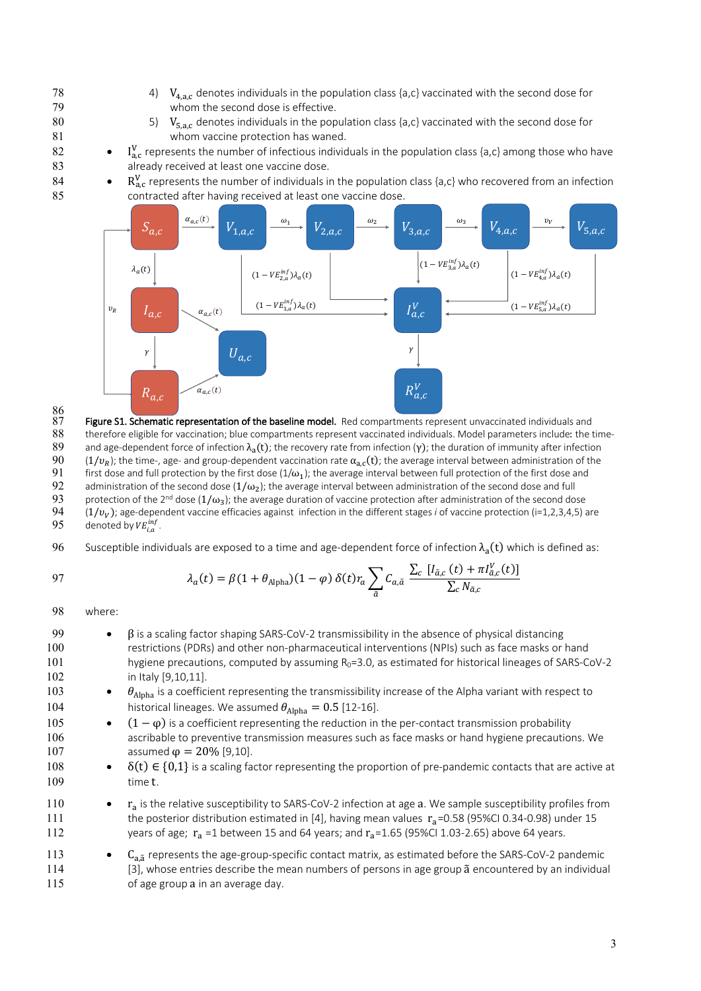- 78 4)  $V_{4,a,c}$  denotes individuals in the population class {a,c} vaccinated with the second dose for whom the second dose is effective. whom the second dose is effective.
- 80 5)  $V_{5,a,c}$  denotes individuals in the population class {a,c} vaccinated with the second dose for whom vaccine protection has waned. whom vaccine protection has waned.
- 82 I<sub>ac</sub> represents the number of infectious individuals in the population class {a,c} among those who have 83 **already received at least one vaccine dose.**
- 84 R<sub>a,c</sub> represents the number of individuals in the population class {a,c} who recovered from an infection 85 contracted after having received at least one vaccine dose.



86<br>87  $87$  Figure S1. Schematic representation of the baseline model. Red compartments represent unvaccinated individuals and  $88$  therefore eligible for vaccination; blue compartments represent vaccinated individuals. Model pa 88 therefore eligible for vaccination; blue compartments represent vaccinated individuals. Model parameters include: the time-<br>89 and age-dependent force of infection  $\lambda_1(t)$ : the recovery rate from infection (y): the du 89 and age-dependent force of infection  $λ_a(t)$ ; the recovery rate from infection (γ); the duration of immunity after infection 90 (1/ $ν_b$ ); the time-, age- and group-dependent vaccination rate  $α_a$ , (t); the average inte (1/ $v_R$ ); the time-, age- and group-dependent vaccination rate  $\alpha_{a,c}(t)$ ; the average interval between administration of the first dose and full protection by the first dose and full protection by the first dose and ful 91 first dose and full protection by the first dose (1/ω<sub>1</sub>); the average interval between full protection of the first dose and full protection of the second dose and full protection of the second dose and full and tull 92 administration of the second dose  $(1/\omega_2)$ ; the average interval between administration of the second dose and full<br>93 protection of the 2<sup>nd</sup> dose  $(1/\omega_2)$ ; the average duration of vaccine protection after administr 93 protection of the 2<sup>nd</sup> dose (1/ω<sub>3</sub>); the average duration of vaccine protection after administration of the second dose<br>94 (1/ $v_v$ ); age-dependent vaccine efficacies against infection in the different stages *i* of v 94 ( $1/v_V$ ); age-dependent vaccine efficacies against infection in the different stages *i* of vaccine protection (i=1,2,3,4,5) are denoted by  $VE_{i,a}^{inf}$ .  $95$  denoted by  $VE^{inf}_{i,a}$  .

96 Susceptible individuals are exposed to a time and age-dependent force of infection  $\lambda_a(t)$  which is defined as:

$$
97\\
$$

$$
\lambda_a(t) = \beta(1 + \theta_{\text{Alpha}})(1 - \varphi) \,\delta(t) r_a \sum_{\tilde{a}} C_{a,\tilde{a}} \, \frac{\sum_c [I_{\tilde{a},c}(t) + \pi I_{\tilde{a},c}^V(t)]}{\sum_c N_{\tilde{a},c}}
$$

98 where:

115 of age group a in an average day.

| 99  | $\beta$ is a scaling factor shaping SARS-CoV-2 transmissibility in the absence of physical distancing                                 |
|-----|---------------------------------------------------------------------------------------------------------------------------------------|
| 100 | restrictions (PDRs) and other non-pharmaceutical interventions (NPIs) such as face masks or hand                                      |
| 101 | hygiene precautions, computed by assuming $R_0 = 3.0$ , as estimated for historical lineages of SARS-CoV-2                            |
| 102 | in Italy [9,10,11].                                                                                                                   |
| 103 | $\theta_{\text{Alpha}}$ is a coefficient representing the transmissibility increase of the Alpha variant with respect to<br>$\bullet$ |
| 104 | historical lineages. We assumed $\theta_{\text{Alpha}} = 0.5$ [12-16].                                                                |
| 105 | $(1 - \varphi)$ is a coefficient representing the reduction in the per-contact transmission probability<br>$\bullet$                  |
| 106 | ascribable to preventive transmission measures such as face masks or hand hygiene precautions. We                                     |
| 107 | assumed $\varphi = 20\%$ [9,10].                                                                                                      |
| 108 | $\delta(t) \in \{0,1\}$ is a scaling factor representing the proportion of pre-pandemic contacts that are active at<br>$\bullet$      |
| 109 | time t.                                                                                                                               |
| 110 | $r_a$ is the relative susceptibility to SARS-CoV-2 infection at age a. We sample susceptibility profiles from<br>$\bullet$            |
| 111 | the posterior distribution estimated in [4], having mean values $r_a$ =0.58 (95%CI 0.34-0.98) under 15                                |
| 112 | years of age; $r_a = 1$ between 15 and 64 years; and $r_a = 1.65$ (95%Cl 1.03-2.65) above 64 years.                                   |
| 113 | $C_{a,a}$ represents the age-group-specific contact matrix, as estimated before the SARS-CoV-2 pandemic<br>$\bullet$                  |
| 114 | [3], whose entries describe the mean numbers of persons in age group ã encountered by an individual                                   |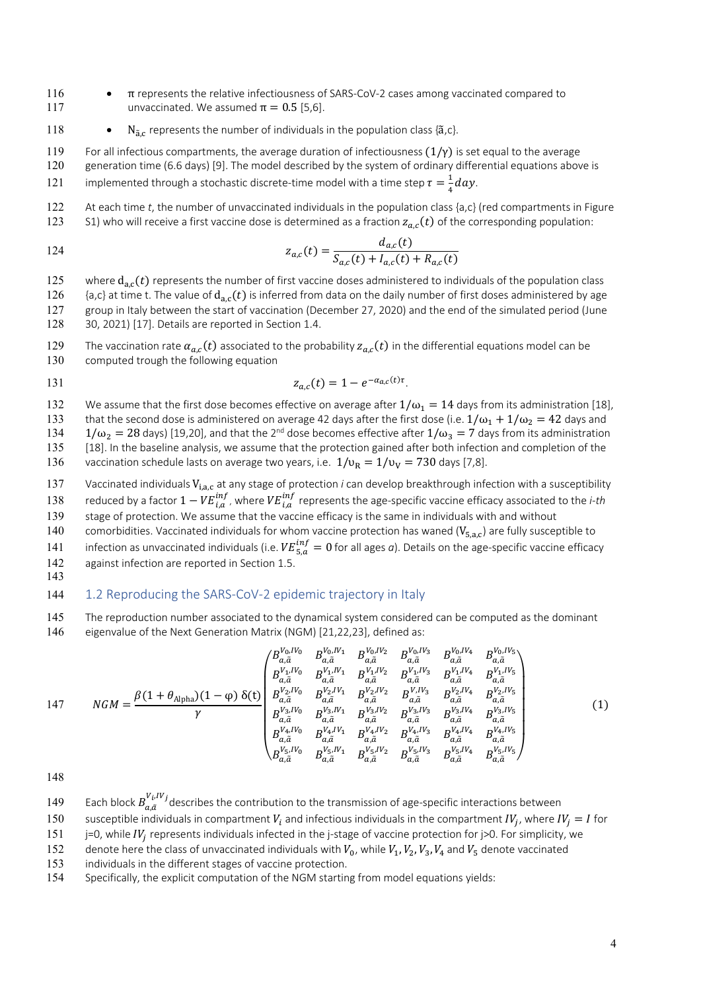- 116 π represents the relative infectiousness of SARS-CoV-2 cases among vaccinated compared to 117 unvaccinated. We assumed  $\pi = 0.5$  [5,6].
- 118 N<sub>3,c</sub> represents the number of individuals in the population class { $\tilde{a}$ ,c}.
- 119 For all infectious compartments, the average duration of infectiousness  $(1/\gamma)$  is set equal to the average
- 120 generation time (6.6 days) [9]. The model described by the system of ordinary differential equations above is
- 121 implemented through a stochastic discrete-time model with a time step  $\tau = \frac{1}{4}day$ .
- 122 At each time *t*, the number of unvaccinated individuals in the population class {a,c} (red compartments in Figure 123 S1) who will receive a first vaccine dose is determined as a fraction  $z_{ac}(t)$  of the corresponding population:

124 
$$
z_{a,c}(t) = \frac{d_{a,c}(t)}{S_{a,c}(t) + l_{a,c}(t) + R_{a,c}(t)}
$$

- 125 where  $d_{a,c}(t)$  represents the number of first vaccine doses administered to individuals of the population class 126  $\{a,c\}$  at time t. The value of  $d_{a,c}(t)$  is inferred from data on the daily number of first doses administered by age 127 group in Italy between the start of vaccination (December 27, 2020) and the end of the simulated period (June 128 30, 2021) [17]. Details are reported in Section 1.4.
- 129 The vaccination rate  $\alpha_{a,c}(t)$  associated to the probability  $z_{a,c}(t)$  in the differential equations model can be
- 130 computed trough the following equation
- 131  $z_{a,c}(t) = 1 e^{-\alpha a_c(t)\tau}$
- 132 We assume that the first dose becomes effective on average after  $1/\omega_1 = 14$  days from its administration [18],
- 133 that the second dose is administered on average 42 days after the first dose (i.e.  $1/\omega_1 + 1/\omega_2 = 42$  days and
- $134 \quad 1/\omega_2 = 28$  days) [19,20], and that the 2<sup>nd</sup> dose becomes effective after  $1/\omega_3 = 7$  days from its administration 135 [18]. In the baseline analysis, we assume that the protection gained after both infection and completion of the
- 136 vaccination schedule lasts on average two years, i.e.  $1/v_R = 1/v_V = 730$  days [7,8].
- 137 Vaccinated individuals V<sub>i.a.c</sub> at any stage of protection *i* can develop breakthrough infection with a susceptibility 138 reduced by a factor  $1 - VE_{i,a}^{inf}$ , where  $VE_{i,a}^{inf}$  represents the age-specific vaccine efficacy associated to the *i-th*
- 139 stage of protection. We assume that the vaccine efficacy is the same in individuals with and without
- 140 comorbidities. Vaccinated individuals for whom vaccine protection has waned ( $V_{5,a,c}$ ) are fully susceptible to
- 141 infection as unvaccinated individuals (i.e.  $VE_{5,a}^{inf} = 0$  for all ages *a*). Details on the age-specific vaccine efficacy 142 against infection are reported in Section 1.5.
- 143

#### 144 1.2 Reproducing the SARS-CoV-2 epidemic trajectory in Italy

145 The reproduction number associated to the dynamical system considered can be computed as the dominant 146 eigenvalue of the Next Generation Matrix (NGM) [21,22,23], defined as:

147 
$$
NGM = \frac{\beta(1+\theta_{\text{Alpha}})(1-\varphi)\,\delta(t)}{\gamma} \begin{pmatrix} B_{a,\tilde{a}}^{V_{0,I}V_{0}} & B_{a,\tilde{a}}^{V_{0,I}V_{1}} & B_{a,\tilde{a}}^{V_{0,I}V_{2}} & B_{a,\tilde{a}}^{V_{0,I}V_{3}} & B_{a,\tilde{a}}^{V_{0,I}V_{4}} & B_{a,\tilde{a}}^{V_{0,I}V_{5}} \\ B_{a,\tilde{a}}^{V_{1,I}V_{0}} & B_{a,\tilde{a}}^{V_{1,I}V_{1}} & B_{a,\tilde{a}}^{V_{1,I}V_{2}} & B_{a,\tilde{a}}^{V_{1,I}V_{3}} & B_{a,\tilde{a}}^{V_{1,I}V_{4}} & B_{a,\tilde{a}}^{V_{1,I}V_{5}} \\ B_{a,\tilde{a}}^{V_{2,I}V_{0}} & B_{a,\tilde{a}}^{V_{2,I}V_{1}} & B_{a,\tilde{a}}^{V_{2,I}V_{2}} & B_{a,\tilde{a}}^{V_{1,I}V_{3}} & B_{a,\tilde{a}}^{V_{1,I}V_{4}} & B_{a,\tilde{a}}^{V_{2,I}V_{5}} \\ B_{a,\tilde{a}}^{V_{3,I}V_{0}} & B_{a,\tilde{a}}^{V_{3,I}V_{1}} & B_{a,\tilde{a}}^{V_{3,I}V_{2}} & B_{a,\tilde{a}}^{V_{3,I}V_{3}} & B_{a,\tilde{a}}^{V_{3,I}V_{4}} & B_{a,\tilde{a}}^{V_{3,I}V_{5}} \\ B_{a,\tilde{a}}^{V_{4,I}V_{0}} & B_{a,\tilde{a}}^{V_{4,I}V_{1}} & B_{a,\tilde{a}}^{V_{4,I}V_{2}} & B_{a,\tilde{a}}^{V_{4,I}V_{3}} & B_{a,\tilde{a}}^{V_{4,I}V_{4}} & B_{a,\tilde{a}}^{V_{4,I}V_{5}} \\ B_{a,\tilde{a}}^{V_{5,I}V_{0}} & B_{a,\tilde{a}}^{V_{5,I}V_{1}} & B_{a,\tilde{a}}^{V_{5,I}V_{3}} & B_{a,\tilde{a}}^{V_{5,I}V_{4}} & B_{a,\tilde{a}}^{V_{5,I}V_{5}} \end{pmatrix} (1)
$$

- 149 Each block  $B_{a,\tilde{a}}^{V_i,IV_j}$  describes the contribution to the transmission of age-specific interactions between
- 150 susceptible individuals in compartment  $V_i$  and infectious individuals in the compartment  $IV_i$ , where  $IV_i = I$  for
- 151 j=0, while IV<sub>i</sub> represents individuals infected in the j-stage of vaccine protection for  $\vert$ >0. For simplicity, we
- 152 denote here the class of unvaccinated individuals with  $V_0$ , while  $V_1$ ,  $V_2$ ,  $V_3$ ,  $V_4$  and  $V_5$  denote vaccinated
- 153 individuals in the different stages of vaccine protection.
- 154 Specifically, the explicit computation of the NGM starting from model equations yields: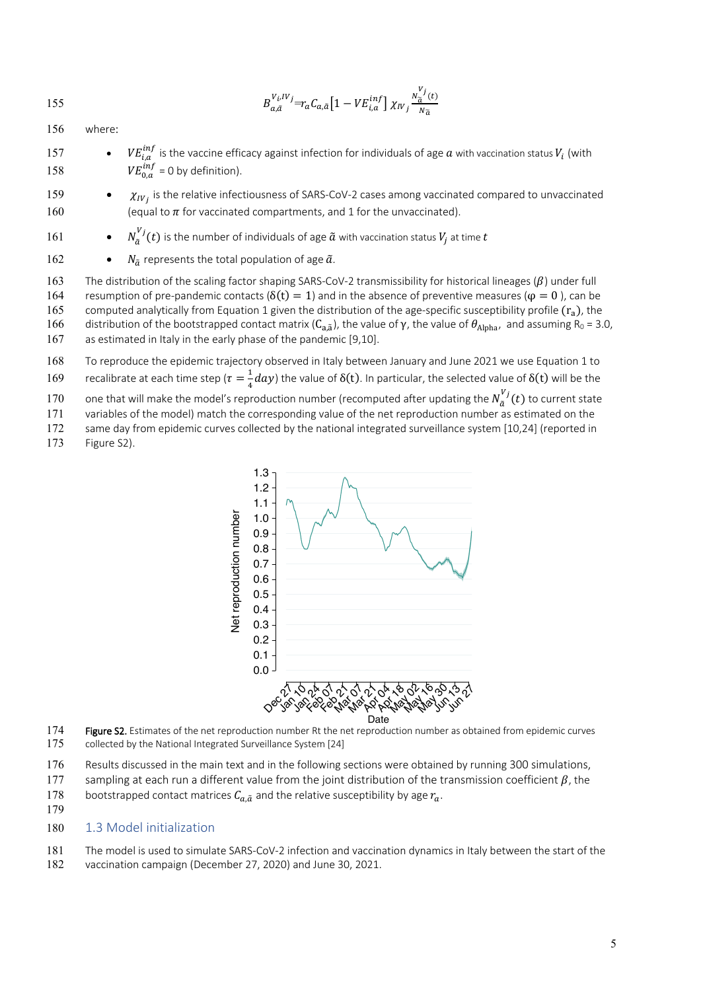$$
155\,
$$

$$
B_{a,\tilde a}^{V_i,IVj} = r_a C_{a,\tilde a} \left[ 1 - VE_{i,a}^{inf} \right] \chi_{IV_j} \frac{{}^{N^{\prime} j}_{\tilde a}(t)}{N_{\tilde a}}
$$

156 where:

- 157  $VE^{inf}_{i,a}$  is the vaccine efficacy against infection for individuals of age  $a$  with vaccination status  $V_i$  (with 158  $VE_{0,a}^{inf} = 0$  by definition).
- 159  $\bullet$   $\chi_{IV_i}$  is the relative infectiousness of SARS-CoV-2 cases among vaccinated compared to unvaccinated 160 (equal to  $\pi$  for vaccinated compartments, and 1 for the unvaccinated).
- 161  $N_{\tilde{a}}^{V_j}(t)$  is the number of individuals of age  $\tilde{a}$  with vaccination status  $V_j$  at time  $t$
- 162  $N_{\tilde{a}}$  represents the total population of age  $\tilde{a}$ .
- 163 The distribution of the scaling factor shaping SARS-CoV-2 transmissibility for historical lineages ( $\beta$ ) under full 164 resumption of pre-pandemic contacts ( $\delta(t) = 1$ ) and in the absence of preventive measures ( $\varphi = 0$ ), can be 165 computed analytically from Equation 1 given the distribution of the age-specific susceptibility profile  $(r_a)$ , the 166 distribution of the bootstrapped contact matrix (C<sub>a,ã</sub>), the value of γ, the value of  $\theta_{Alpha}$ , and assuming R<sub>0</sub> = 3.0, 167 as estimated in Italy in the early phase of the pandemic [9,10].
- 168 To reproduce the epidemic trajectory observed in Italy between January and June 2021 we use Equation 1 to
- 169 recalibrate at each time step ( $\tau = \frac{1}{4}day$ ) the value of  $\delta(t)$ . In particular, the selected value of  $\delta(t)$  will be the
- 170 one that will make the model's reproduction number (recomputed after updating the  $N_{\tilde{a}}^{V_j}(t)$  to current state
- 171 variables of the model) match the corresponding value of the net reproduction number as estimated on the
- 172 same day from epidemic curves collected by the national integrated surveillance system [10,24] (reported in
- 173 Figure S2).



- 174 Figure S2. Estimates of the net reproduction number Rt the net reproduction number as obtained from epidemic curves 175 collected by the National Integrated Surveillance System [24]
- 176 Results discussed in the main text and in the following sections were obtained by running 300 simulations,
- 177 sampling at each run a different value from the joint distribution of the transmission coefficient  $\beta$ , the 178 bootstrapped contact matrices  $C_{a\tilde{a}}$  and the relative susceptibility by age  $r_a$ .
- 179
- 180 1.3 Model initialization
- 181 The model is used to simulate SARS-CoV-2 infection and vaccination dynamics in Italy between the start of the
- 182 vaccination campaign (December 27, 2020) and June 30, 2021.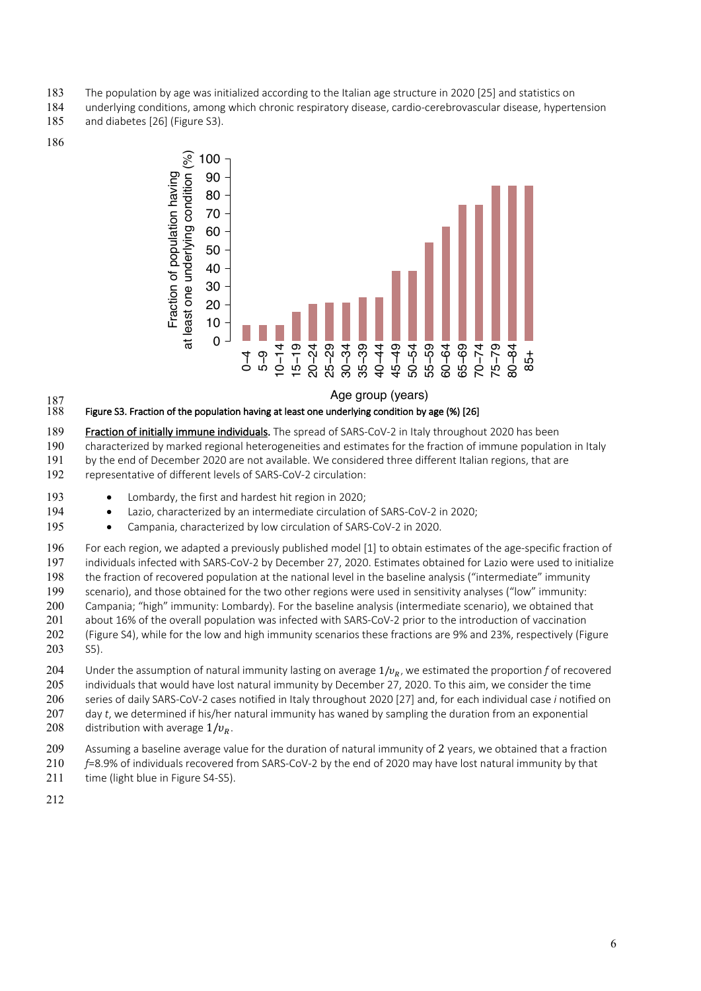- The population by age was initialized according to the Italian age structure in 2020 [25] and statistics on
- underlying conditions, among which chronic respiratory disease, cardio-cerebrovascular disease, hypertension
- and diabetes [26] (Figure S3).
- 



Age group (years)



- 189 Fraction of initially immune individuals. The spread of SARS-CoV-2 in Italy throughout 2020 has been
- characterized by marked regional heterogeneities and estimates for the fraction of immune population in Italy
- by the end of December 2020 are not available. We considered three different Italian regions, that are
- representative of different levels of SARS-CoV-2 circulation:
- 193 Lombardy, the first and hardest hit region in 2020;
- 194 Lazio, characterized by an intermediate circulation of SARS-CoV-2 in 2020;
- 195 Campania, characterized by low circulation of SARS-CoV-2 in 2020.
- For each region, we adapted a previously published model [1] to obtain estimates of the age-specific fraction of individuals infected with SARS-CoV-2 by December 27, 2020. Estimates obtained for Lazio were used to initialize the fraction of recovered population at the national level in the baseline analysis ("intermediate" immunity scenario), and those obtained for the two other regions were used in sensitivity analyses ("low" immunity: Campania; "high" immunity: Lombardy). For the baseline analysis (intermediate scenario), we obtained that about 16% of the overall population was infected with SARS-CoV-2 prior to the introduction of vaccination (Figure S4), while for the low and high immunity scenarios these fractions are 9% and 23%, respectively (Figure
- S5).
- 204 Under the assumption of natural immunity lasting on average  $1/v_R$ , we estimated the proportion f of recovered individuals that would have lost natural immunity by December 27, 2020. To this aim, we consider the time series of daily SARS-CoV-2 cases notified in Italy throughout 2020 [27] and, for each individual case *i* notified on day *t*, we determined if his/her natural immunity has waned by sampling the duration from an exponential
- 208 distribution with average  $1/v_R$ .
- Assuming a baseline average value for the duration of natural immunity of 2 years, we obtained that a fraction
- *f*=8.9% of individuals recovered from SARS-CoV-2 by the end of 2020 may have lost natural immunity by that 211 time (light blue in Figure S4-S5).
-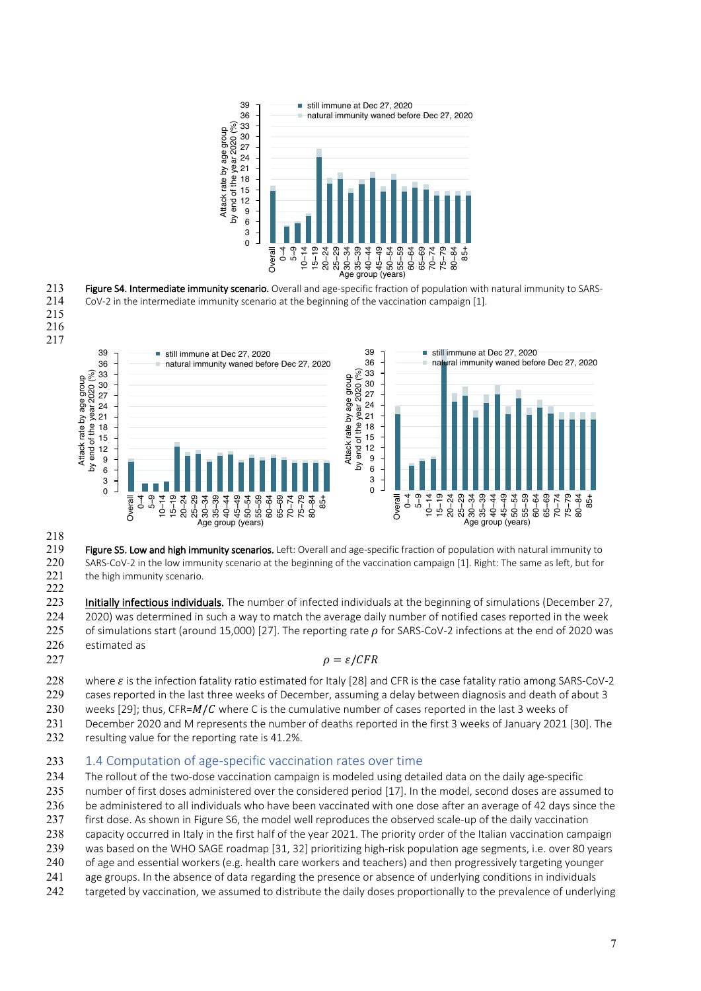

213 Figure S4. Intermediate immunity scenario. Overall and age-specific fraction of population with natural immunity to SARS-CoV-2 in the intermediate immunity scenario at the beginning of the vaccination campaign [1].





219 Figure S5. Low and high immunity scenarios. Left: Overall and age-specific fraction of population with natural immunity to SARS-CoV-2 in the low immunity scenario at the beginning of the vaccination campaign [1]. Right: The same as left, but for 221 the high immunity scenario. 

223 Initially infectious individuals. The number of infected individuals at the beginning of simulations (December 27, 2020) was determined in such a way to match the average daily number of notified cases reported in the week 225 of simulations start (around 15,000) [27]. The reporting rate  $\rho$  for SARS-CoV-2 infections at the end of 2020 was estimated as

## 227  $\rho = \varepsilon / CFR$

228 where  $\varepsilon$  is the infection fatality ratio estimated for Italy [28] and CFR is the case fatality ratio among SARS-CoV-2 cases reported in the last three weeks of December, assuming a delay between diagnosis and death of about 3

- 230 weeks [29]; thus, CFR= $M/C$  where C is the cumulative number of cases reported in the last 3 weeks of
- December 2020 and M represents the number of deaths reported in the first 3 weeks of January 2021 [30]. The
- resulting value for the reporting rate is 41.2%.

## 233 1.4 Computation of age-specific vaccination rates over time

- The rollout of the two-dose vaccination campaign is modeled using detailed data on the daily age-specific
- number of first doses administered over the considered period [17]. In the model, second doses are assumed to
- 236 be administered to all individuals who have been vaccinated with one dose after an average of 42 days since the
- first dose. As shown in Figure S6, the model well reproduces the observed scale-up of the daily vaccination
- capacity occurred in Italy in the first half of the year 2021. The priority order of the Italian vaccination campaign
- was based on the WHO SAGE roadmap [31, 32] prioritizing high-risk population age segments, i.e. over 80 years
- of age and essential workers (e.g. health care workers and teachers) and then progressively targeting younger
- age groups. In the absence of data regarding the presence or absence of underlying conditions in individuals
- 242 targeted by vaccination, we assumed to distribute the daily doses proportionally to the prevalence of underlying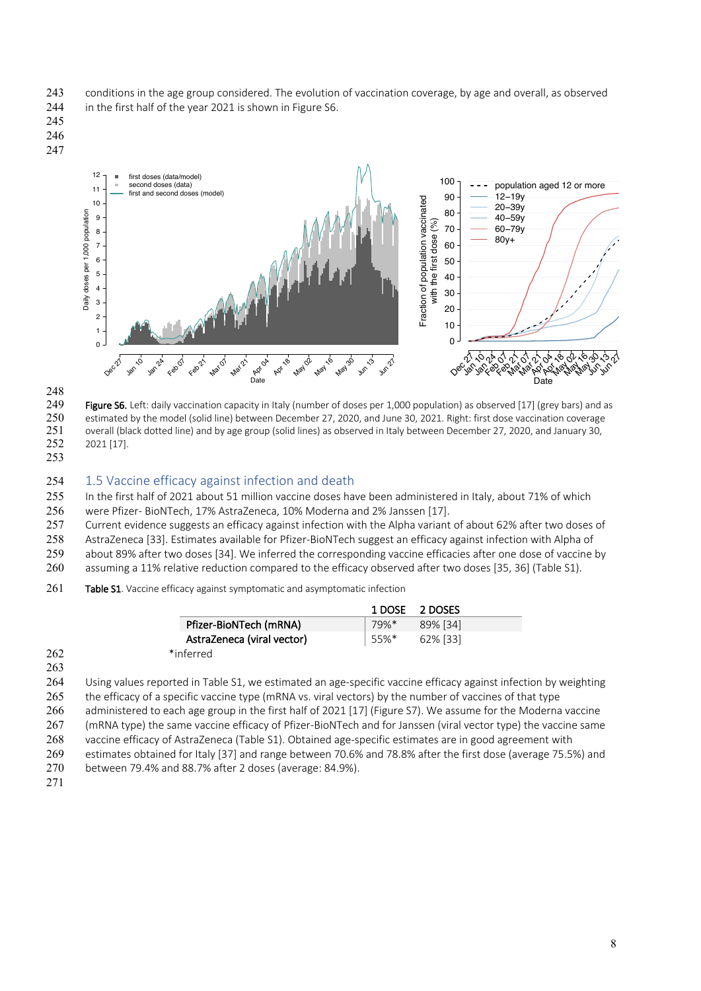- 243 conditions in the age group considered. The evolution of vaccination coverage, by age and overall, as observed 244 in the first half of the year 2021 is shown in Figure S6.
- 
- 245 246
- 247





**249 Figure S6.** Left: daily vaccination capacity in Italy (number of doses per 1,000 population) as observed [17] (grey bars) and as <br>250 estimated by the model (solid line) between December 27, 2020, and June 30, 2021. R 250 estimated by the model (solid line) between December 27, 2020, and June 30, 2021. Right: first dose vaccination coverage<br>251 overall (black dotted line) and by age group (solid lines) as observed in Italy between Decem 251 overall (black dotted line) and by age group (solid lines) as observed in Italy between December 27, 2020, and January 30,<br>252 2021 [17]. 2021 [17].

253

## 254 1.5 Vaccine efficacy against infection and death

255 In the first half of 2021 about 51 million vaccine doses have been administered in Italy, about 71% of which 256 were Pfizer- BioNTech, 17% AstraZeneca, 10% Moderna and 2% Janssen [17].

257 Current evidence suggests an efficacy against infection with the Alpha variant of about 62% after two doses of 258 AstraZeneca [33]. Estimates available for Pfizer-BioNTech suggest an efficacy against infection with Alpha of 259 about 89% after two doses [34]. We inferred the corresponding vaccine efficacies after one dose of vaccine by

260 assuming a 11% relative reduction compared to the efficacy observed after two doses [35, 36] (Table S1).

#### 261 Table S1. Vaccine efficacy against symptomatic and asymptomatic infection

Date

|     |                            |      | 1 DOSE 2 DOSES |
|-----|----------------------------|------|----------------|
|     | Pfizer-BioNTech (mRNA)     | 79%* | 89% [34]       |
|     | AstraZeneca (viral vector) | 55%* | 62% [33]       |
| 262 | *inferred                  |      |                |
| 263 |                            |      |                |

 Using values reported in Table S1, we estimated an age-specific vaccine efficacy against infection by weighting the efficacy of a specific vaccine type (mRNA vs. viral vectors) by the number of vaccines of that type administered to each age group in the first half of 2021 [17] (Figure S7). We assume for the Moderna vaccine (mRNA type) the same vaccine efficacy of Pfizer-BioNTech and for Janssen (viral vector type) the vaccine same

268 vaccine efficacy of AstraZeneca (Table S1). Obtained age-specific estimates are in good agreement with

269 estimates obtained for Italy [37] and range between 70.6% and 78.8% after the first dose (average 75.5%) and

- 270 between 79.4% and 88.7% after 2 doses (average: 84.9%).
- 271

n 2<br>Jun<br>Jun

Date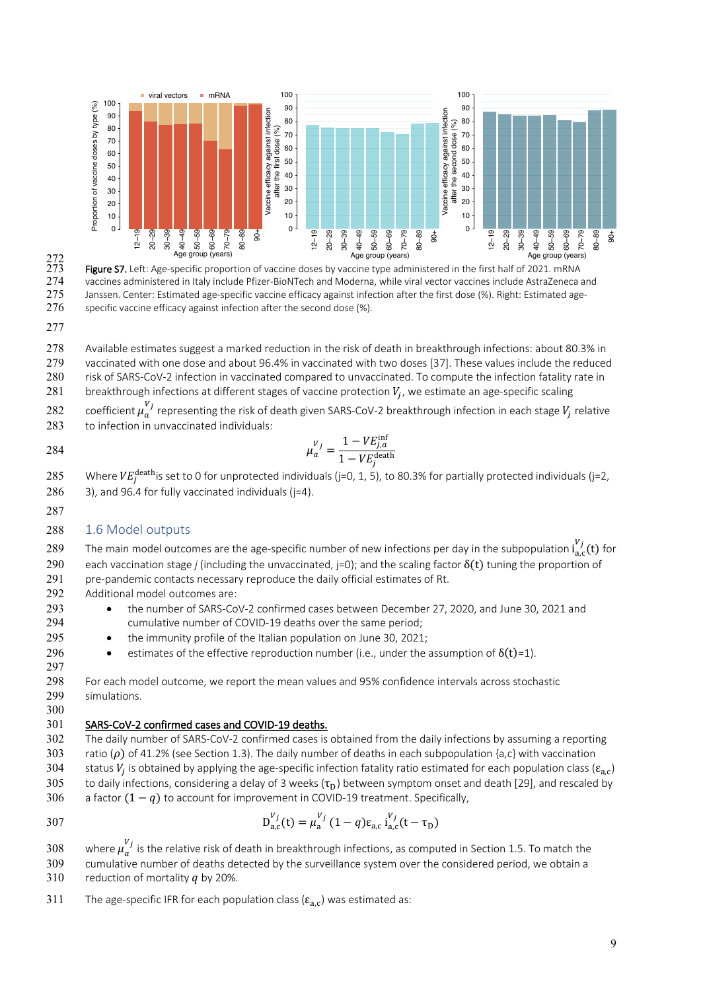

Age group (years)<br>273 **Figure S7.** Left: Age-specific proportion of vaccine doses by vaccine type administered in the first half of 2021. mRNA<br>274 vaccines administered in Italy include Pfizer-BioNTech and Moderna, while v 274 vaccines administered in Italy include Pfizer-BioNTech and Moderna, while viral vector vaccines include AstraZeneca and<br>275 Janssen. Center: Estimated age-specific vaccine efficacy against infection after the first dos Janssen. Center: Estimated age-specific vaccine efficacy against infection after the first dose (%). Right: Estimated age-specific vaccine efficacy against infection after the second dose  $%$ ).

 Available estimates suggest a marked reduction in the risk of death in breakthrough infections: about 80.3% in vaccinated with one dose and about 96.4% in vaccinated with two doses [37]. These values include the reduced risk of SARS-CoV-2 infection in vaccinated compared to unvaccinated. To compute the infection fatality rate in 281 breakthrough infections at different stages of vaccine protection  $V_i$ , we estimate an age-specific scaling

 $\;$  coefficient  $\mu^{V_j}_a$  representing the risk of death given SARS-CoV-2 breakthrough infection in each stage  $V_j$  relative 283 to infection in unvaccinated individuals:

$$
\mu_a^{V_j} = \frac{1 - V E_{j,a}^{\text{inf}}}{1 - V E_j^{\text{death}}}
$$

285 Where  $VE^{death}_j$  is set to 0 for unprotected individuals (j=0, 1, 5), to 80.3% for partially protected individuals (j=2, 286 3), and 96.4 for fully vaccinated individuals (j=4).

## 1.6 Model outputs

- 289 The main model outcomes are the age-specific number of new infections per day in the subpopulation  $i_{a,c}^{V_j}(t)$  for
- 290 each vaccination stage *j* (including the unvaccinated,  $j=0$ ); and the scaling factor  $\delta(t)$  tuning the proportion of
- 291 pre-pandemic contacts necessary reproduce the daily official estimates of Rt.

Additional model outcomes are:

- the number of SARS-CoV-2 confirmed cases between December 27, 2020, and June 30, 2021 and cumulative number of COVID-19 deaths over the same period;
- 295 the immunity profile of the Italian population on June 30, 2021;
- 296 estimates of the effective reproduction number (i.e., under the assumption of  $\delta(t)=1$ ).

 For each model outcome, we report the mean values and 95% confidence intervals across stochastic simulations.

#### SARS-CoV-2 confirmed cases and COVID-19 deaths.

 The daily number of SARS-CoV-2 confirmed cases is obtained from the daily infections by assuming a reporting 303 ratio ( $\rho$ ) of 41.2% (see Section 1.3). The daily number of deaths in each subpopulation {a,c} with vaccination 304 status  $V_i$  is obtained by applying the age-specific infection fatality ratio estimated for each population class ( $\epsilon_{a}$ ) 305 to daily infections, considering a delay of 3 weeks ( $\tau_D$ ) between symptom onset and death [29], and rescaled by<br>306 a factor (1 – *a*) to account for improvement in COVID-19 treatment. Specifically, a factor  $(1 - q)$  to account for improvement in COVID-19 treatment. Specifically,

307 
$$
D_{a,c}^{V_j}(t) = \mu_a^{V_j} (1-q) \epsilon_{a,c} i_{a,c}^{V_j}(t-\tau_D)
$$

 where  $\mu_a^{V_j}$  is the relative risk of death in breakthrough infections, as computed in Section 1.5. To match the cumulative number of deaths detected by the surveillance system over the considered period, we obtain a 310 reduction of mortality  $q$  by 20%.

311 The age-specific IFR for each population class ( $\epsilon_{a,c}$ ) was estimated as: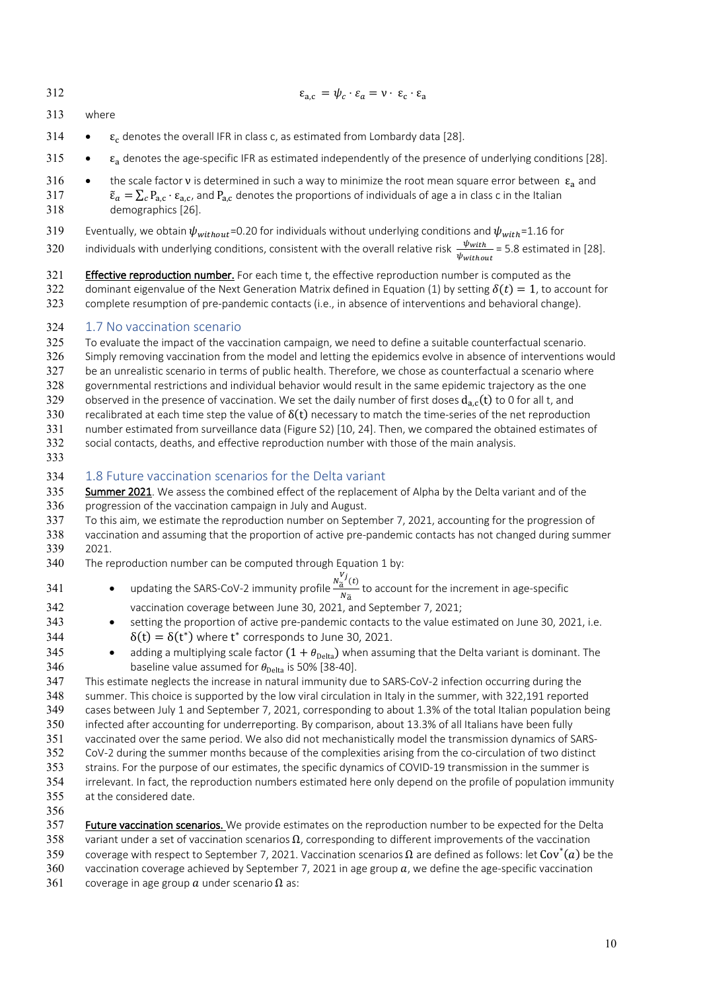313 where

- 314  $\bullet$   $\varepsilon_c$  denotes the overall IFR in class c, as estimated from Lombardy data [28].
- 315  $\varepsilon_a$  denotes the age-specific IFR as estimated independently of the presence of underlying conditions [28].

 $\varepsilon_{\text{a.c}} = \psi_c \cdot \varepsilon_a = v \cdot \varepsilon_c \cdot \varepsilon_a$ 

316 • the scale factor **v** is determined in such a way to minimize the root mean square error between  $\varepsilon_a$  and 317  $\tilde{\epsilon}_a = \sum_c P_{a,c} \cdot \epsilon_{a,c}$ , and  $P_{a,c}$  denotes the proportions of individuals of age a in class c in the Italian 318 demographics [26].

319 Eventually, we obtain  $\psi_{without}$ =0.20 for individuals without underlying conditions and  $\psi_{with}$ =1.16 for

320 individuals with underlying conditions, consistent with the overall relative risk  $\frac{\psi_{with}}{\psi_{without}}$  = 5.8 estimated in [28].

321 Effective reproduction number. For each time t, the effective reproduction number is computed as the 322 dominant eigenvalue of the Next Generation Matrix defined in Equation (1) by setting  $\delta(t) = 1$ , to account for 323 complete resumption of pre-pandemic contacts (i.e., in absence of interventions and behavioral change).

#### 324 1.7 No vaccination scenario

- 325 To evaluate the impact of the vaccination campaign, we need to define a suitable counterfactual scenario.
- 326 Simply removing vaccination from the model and letting the epidemics evolve in absence of interventions would
- 327 be an unrealistic scenario in terms of public health. Therefore, we chose as counterfactual a scenario where
- 328 governmental restrictions and individual behavior would result in the same epidemic trajectory as the one
- 329 observed in the presence of vaccination. We set the daily number of first doses  $d_{a}$  (t) to 0 for all t, and
- 330 recalibrated at each time step the value of  $\delta(t)$  necessary to match the time-series of the net reproduction 331 number estimated from surveillance data (Figure S2) [10, 24]. Then, we compared the obtained estimates of
- 332 social contacts, deaths, and effective reproduction number with those of the main analysis.
- 333

## 334 1.8 Future vaccination scenarios for the Delta variant

335 Summer 2021. We assess the combined effect of the replacement of Alpha by the Delta variant and of the 336 progression of the vaccination campaign in July and August.

- 337 To this aim, we estimate the reproduction number on September 7, 2021, accounting for the progression of
- 338 vaccination and assuming that the proportion of active pre-pandemic contacts has not changed during summer 339 2021.
- 340 The reproduction number can be computed through Equation 1 by:
- updating the SARS-CoV-2 immunity profile  $\frac{N_d^V j(t)}{N_d}$ 341 **•** updating the SARS-CoV-2 immunity profile  $\frac{a}{N_{\tilde{a}}}$  to account for the increment in age-specific 342 vaccination coverage between June 30, 2021, and September 7, 2021;
- 343 setting the proportion of active pre-pandemic contacts to the value estimated on June 30, 2021, i.e. 344  $\delta(t) = \delta(t^*)$  where  $t^*$  corresponds to June 30, 2021.
- 345 adding a multiplying scale factor  $(1 + \theta_{\text{Delta}})$  when assuming that the Delta variant is dominant. The 346 baseline value assumed for  $\theta_{\text{Delta}}$  is 50% [38-40].

 This estimate neglects the increase in natural immunity due to SARS-CoV-2 infection occurring during the summer. This choice is supported by the low viral circulation in Italy in the summer, with 322,191 reported cases between July 1 and September 7, 2021, corresponding to about 1.3% of the total Italian population being infected after accounting for underreporting. By comparison, about 13.3% of all Italians have been fully vaccinated over the same period. We also did not mechanistically model the transmission dynamics of SARS- CoV-2 during the summer months because of the complexities arising from the co-circulation of two distinct strains. For the purpose of our estimates, the specific dynamics of COVID-19 transmission in the summer is irrelevant. In fact, the reproduction numbers estimated here only depend on the profile of population immunity at the considered date.

356

357 Future vaccination scenarios. We provide estimates on the reproduction number to be expected for the Delta 358 variant under a set of vaccination scenarios  $\Omega$ , corresponding to different improvements of the vaccination 359 coverage with respect to September 7, 2021. Vaccination scenarios  $Ω$  are defined as follows: let Cov<sup>\*</sup>(a) be the 360 vaccination coverage achieved by September 7, 2021 in age group  $a$ , we define the age-specific vaccination

361 coverage in age group  $\alpha$  under scenario  $\Omega$  as: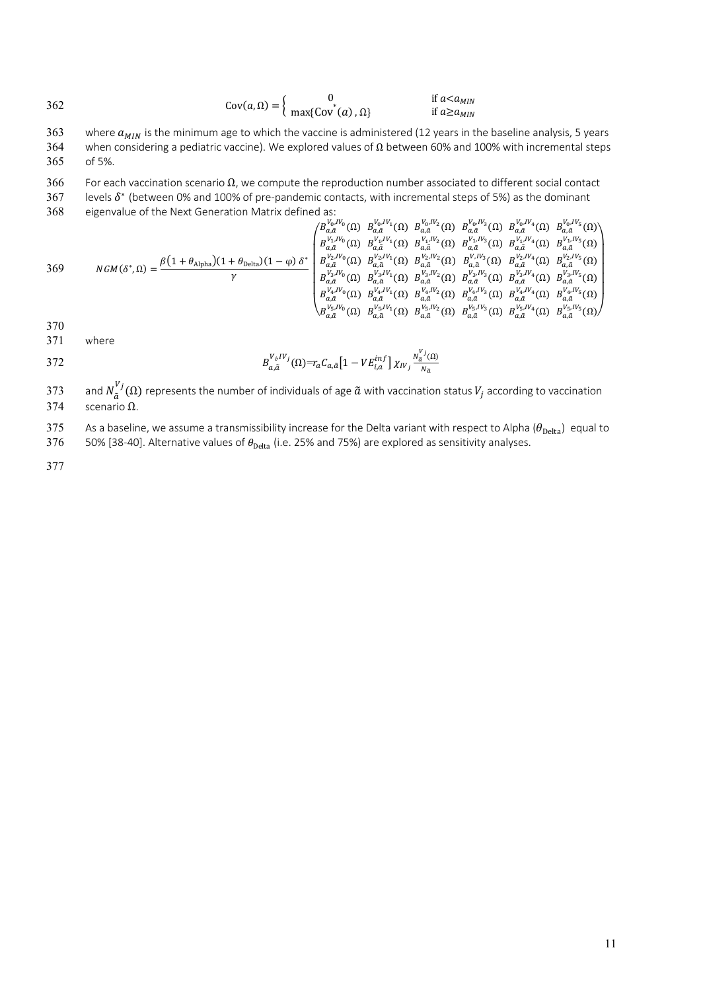$$
362 \qquad \qquad \text{Cov}(a,\Omega) = \begin{cases} 0 & \text{if } a < a_{MIN} \\ \max\{\text{Cov}^*(a), \Omega\} & \text{if } a \ge a_{MIN} \end{cases}
$$

363 where  $a_{MIN}$  is the minimum age to which the vaccine is administered (12 years in the baseline analysis, 5 years 364 when considering a pediatric vaccine). We explored values of  $\Omega$  between 60% and 100% with incremen when considering a pediatric vaccine). We explored values of Ω between 60% and 100% with incremental steps 365 of 5%.

366 For each vaccination scenario  $\Omega$ , we compute the reproduction number associated to different social contact

367 levels  $\delta^*$  (between 0% and 100% of pre-pandemic contacts, with incremental steps of 5%) as the dominant

368 eigenvalue of the Next Generation Matrix defined as:

369  
\n
$$
NGM(\delta^*,\Omega) = \frac{\beta(1+\theta_{\text{Alpha}})(1+\theta_{\text{Delta}})(1-\varphi)\delta^*}{\gamma} \begin{pmatrix} B_{\alpha,\tilde{\alpha}}^{V_0,V_0}(\Omega) & B_{\alpha,\tilde{\alpha}}^{V_0,V_0}(\Omega) & B_{\alpha,\tilde{\alpha}}^{V_0,V_0}(\Omega) & B_{\alpha,\tilde{\alpha}}^{V_0,V_0}(\Omega) & B_{\alpha,\tilde{\alpha}}^{V_0,V_0}(\Omega) & B_{\alpha,\tilde{\alpha}}^{V_0,V_0}(\Omega) \\ B_{\alpha,\tilde{\alpha}}^{V_0,V_0}(\Omega) & B_{\alpha,\tilde{\alpha}}^{V_0}(\Omega) & B_{\alpha,\tilde{\alpha}}^{V_0}(\Omega) & B_{\alpha,\tilde{\alpha}}^{V_0}(\Omega) & B_{\alpha,\tilde{\alpha}}^{V_0,V_0}(\Omega) & B_{\alpha,\tilde{\alpha}}^{V_0,V_0}(\Omega) \\ B_{\alpha,\tilde{\alpha}}^{V_0,V_0}(\Omega) & B_{\alpha,\tilde{\alpha}}^{V_0,V_0}(\Omega) & B_{\alpha,\tilde{\alpha}}^{V_0,V_0}(\Omega) & B_{\alpha,\tilde{\alpha}}^{V_0,V_0}(\Omega) & B_{\alpha,\tilde{\alpha}}^{V_0,V_0}(\Omega) \\ B_{\alpha,\tilde{\alpha}}^{V_0,V_0}(\Omega) & B_{\alpha,\tilde{\alpha}}^{V_0,V_0}(\Omega) & B_{\alpha,\tilde{\alpha}}^{V_0,V_0}(\Omega) & B_{\alpha,\tilde{\alpha}}^{V_0,V_0}(\Omega) & B_{\alpha,\tilde{\alpha}}^{V_0,V_0}(\Omega) & B_{\alpha,\tilde{\alpha}}^{V_0,V_0}(\Omega) \\ B_{\alpha,\tilde{\alpha}}^{V_0,V_0}(\Omega) & B_{\alpha,\tilde{\alpha}}^{V_0,V_0}(\Omega) & B_{\alpha,\tilde{\alpha}}^{V_0,V_0}(\Omega) & B_{\alpha,\tilde{\alpha}}^{V_0,V_0}(\Omega) & B_{\alpha,\tilde{\alpha}}^{V_0,V_0}(\Omega) & B_{\alpha,\tilde{\alpha}}^{V_0,V_0}(\Omega) \\ B_{\alpha,\tilde{\alpha}}^{V_0,V_0}(\Omega) & B_{\alpha,\tilde{\alpha}}^{V_0,V_0}(\Omega) & B_{\alpha,\tilde{\alpha}}^{V_0,V_0}(\Omega) & B_{\alpha,\
$$

370

371 where

372 
$$
B_{a,\tilde{a}}^{V_i,IV_j}(\Omega)=r_a C_{a,\tilde{a}}\left[1-VE_{i,a}^{inf}\right]\chi_{IV_j}\frac{N_a^{V_j}(\Omega)}{N_{\tilde{a}}}
$$

373 and  $N^{Vj}_{\tilde{a}}(\Omega)$  represents the number of individuals of age  $\tilde{a}$  with vaccination status  $V_j$  according to vaccination 374 scenario Ω.

As a baseline, we assume a transmissibility increase for the Delta variant with respect to Alpha ( $\theta_{\text{Delta}}$ ) equal to 376 50% [38-40]. Alternative values of  $\theta_{\text{Delta}}$  (i.e. 25% and 75%) are explored as sensitivity analy

50% [38-40]. Alternative values of  $\theta_{\text{Delta}}$  (i.e. 25% and 75%) are explored as sensitivity analyses.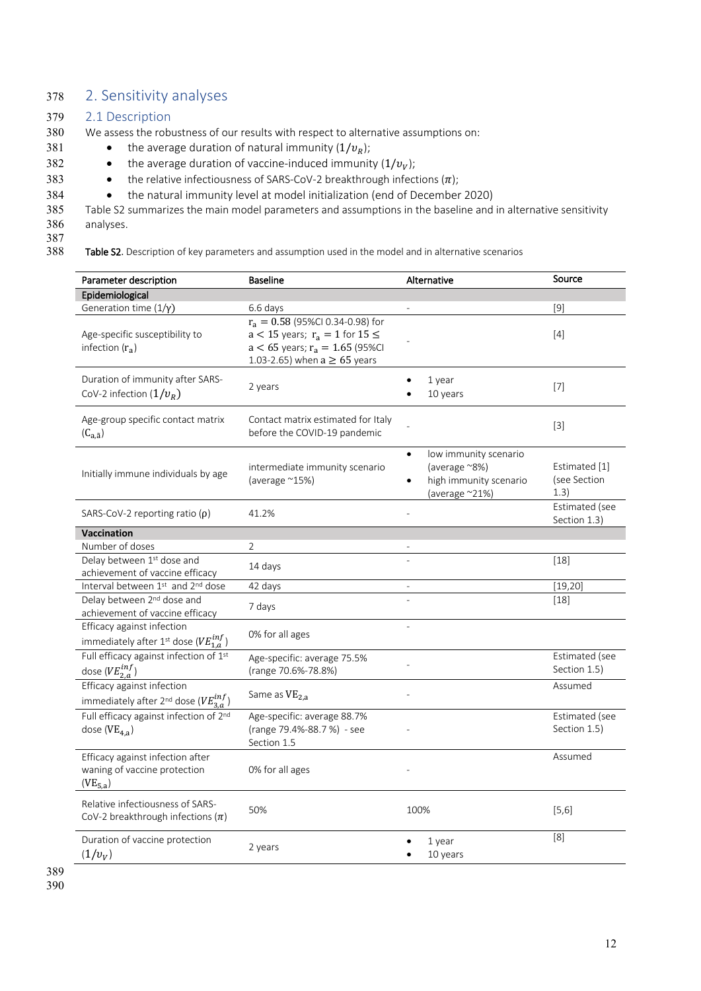## 378 2. Sensitivity analyses

#### 379 2.1 Description

- 380 We assess the robustness of our results with respect to alternative assumptions on:
- 381 the average duration of natural immunity  $(1/v_R)$ ;
- 382 the average duration of vaccine-induced immunity  $(1/v_v)$ ;
- 383 the relative infectiousness of SARS-CoV-2 breakthrough infections  $(\pi)$ ;
- 384 the natural immunity level at model initialization (end of December 2020)

385 Table S2 summarizes the main model parameters and assumptions in the baseline and in alternative sensitivity 386 analyses.

387<br>388

Table S2. Description of key parameters and assumption used in the model and in alternative scenarios

| Parameter description                                                                     | <b>Baseline</b>                                                                                                                                          | Alternative                                                                                  | Source                                |
|-------------------------------------------------------------------------------------------|----------------------------------------------------------------------------------------------------------------------------------------------------------|----------------------------------------------------------------------------------------------|---------------------------------------|
| Epidemiological                                                                           |                                                                                                                                                          |                                                                                              |                                       |
| Generation time $(1/\gamma)$                                                              | 6.6 days                                                                                                                                                 |                                                                                              | [9]                                   |
| Age-specific susceptibility to<br>infection $(r_a)$                                       | $r_a = 0.58$ (95%Cl 0.34-0.98) for<br>$a < 15$ years; $r_a = 1$ for $15 \leq$<br>$a < 65$ years; $r_a = 1.65$ (95%CI<br>1.03-2.65) when $a \ge 65$ years |                                                                                              | [4]                                   |
| Duration of immunity after SARS-<br>CoV-2 infection $(1/v_R)$                             | 2 years                                                                                                                                                  | 1 year<br>10 years                                                                           | $[7]$                                 |
| Age-group specific contact matrix<br>$(C_{a,\tilde{a}})$                                  | Contact matrix estimated for Italy<br>before the COVID-19 pandemic                                                                                       |                                                                                              | $[3]$                                 |
| Initially immune individuals by age                                                       | intermediate immunity scenario<br>(average $^{\sim}15\%$ )                                                                                               | low immunity scenario<br>(average ~8%)<br>high immunity scenario<br>(average $^{\sim}21\%$ ) | Estimated [1]<br>(see Section<br>1.3) |
| SARS-CoV-2 reporting ratio $(\rho)$                                                       | 41.2%                                                                                                                                                    |                                                                                              | Estimated (see<br>Section 1.3)        |
| <b>Vaccination</b>                                                                        |                                                                                                                                                          |                                                                                              |                                       |
| Number of doses                                                                           | $\overline{2}$                                                                                                                                           |                                                                                              |                                       |
| Delay between 1st dose and<br>achievement of vaccine efficacy                             | 14 days                                                                                                                                                  |                                                                                              | $[18]$                                |
| Interval between 1st and 2nd dose                                                         | 42 days                                                                                                                                                  |                                                                                              | [19, 20]                              |
| Delay between 2 <sup>nd</sup> dose and<br>achievement of vaccine efficacy                 | 7 days                                                                                                                                                   |                                                                                              | $[18]$                                |
| Efficacy against infection<br>immediately after 1st dose ( $VE_{1,a}^{inf}$ )             | 0% for all ages                                                                                                                                          | L.                                                                                           |                                       |
| Full efficacy against infection of 1st<br>dose ( $VE_{2,a}^{inf}$ )                       | Age-specific: average 75.5%<br>(range 70.6%-78.8%)                                                                                                       |                                                                                              | Estimated (see<br>Section 1.5)        |
| Efficacy against infection<br>immediately after 2 <sup>nd</sup> dose ( $VE_{3,a}^{inf}$ ) | Same as VE <sub>2.a</sub>                                                                                                                                |                                                                                              | Assumed                               |
| Full efficacy against infection of 2nd<br>dose ( $VE_{4,a}$ )                             | Age-specific: average 88.7%<br>(range 79.4%-88.7 %) - see<br>Section 1.5                                                                                 |                                                                                              | Estimated (see<br>Section 1.5)        |
| Efficacy against infection after<br>waning of vaccine protection<br>$(VE_{5,a})$          | 0% for all ages                                                                                                                                          |                                                                                              | Assumed                               |
| Relative infectiousness of SARS-<br>CoV-2 breakthrough infections $(\pi)$                 | 50%                                                                                                                                                      | 100%                                                                                         | [5,6]                                 |
| Duration of vaccine protection<br>$(1/v_{V})$                                             | 2 years                                                                                                                                                  | 1 year<br>10 years                                                                           | [8]                                   |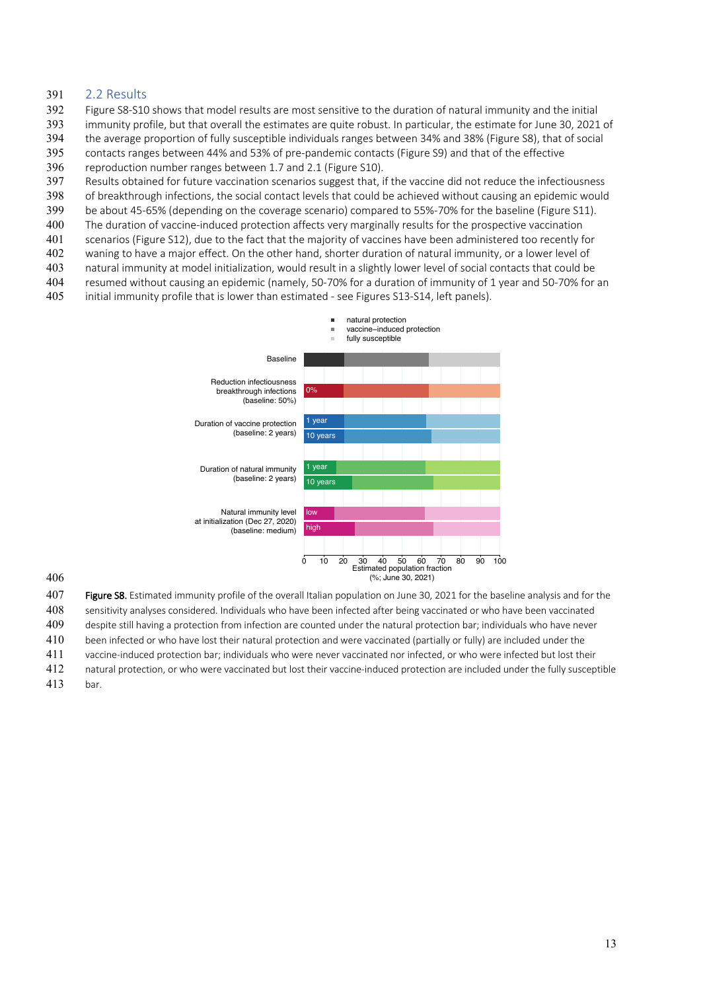#### 391 2.2 Results

- 392 Figure S8-S10 shows that model results are most sensitive to the duration of natural immunity and the initial
- 393 immunity profile, but that overall the estimates are quite robust. In particular, the estimate for June 30, 2021 of
- 394 the average proportion of fully susceptible individuals ranges between 34% and 38% (Figure S8), that of social
- 395 contacts ranges between 44% and 53% of pre-pandemic contacts (Figure S9) and that of the effective
- 396 reproduction number ranges between 1.7 and 2.1 (Figure S10).
- 397 Results obtained for future vaccination scenarios suggest that, if the vaccine did not reduce the infectiousness
- 398 of breakthrough infections, the social contact levels that could be achieved without causing an epidemic would
- 399 be about 45-65% (depending on the coverage scenario) compared to 55%-70% for the baseline (Figure S11).
- 400 The duration of vaccine-induced protection affects very marginally results for the prospective vaccination
- 401 scenarios (Figure S12), due to the fact that the majority of vaccines have been administered too recently for
- 402 waning to have a major effect. On the other hand, shorter duration of natural immunity, or a lower level of 403 natural immunity at model initialization, would result in a slightly lower level of social contacts that could be
- 404 resumed without causing an epidemic (namely, 50-70% for a duration of immunity of 1 year and 50-70% for an
- 405 initial immunity profile that is lower than estimated see Figures S13-S14, left panels).



#### 406

407 Figure S8. Estimated immunity profile of the overall Italian population on June 30, 2021 for the baseline analysis and for the 408 sensitivity analyses considered. Individuals who have been infected after being vaccinated or who have been vaccinated

409 despite still having a protection from infection are counted under the natural protection bar; individuals who have never

- 410 been infected or who have lost their natural protection and were vaccinated (partially or fully) are included under the
- 411 vaccine-induced protection bar; individuals who were never vaccinated nor infected, or who were infected but lost their
- 412 natural protection, or who were vaccinated but lost their vaccine-induced protection are included under the fully susceptible
- 413 bar.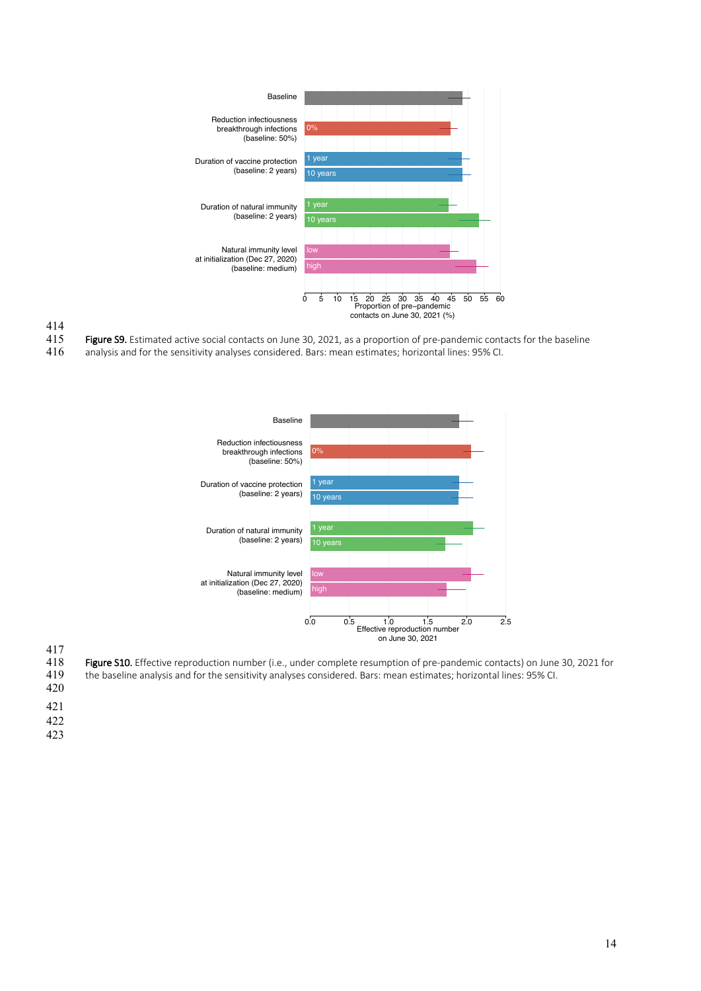

- 415 Figure S9. Estimated active social contacts on June 30, 2021, as a proportion of pre-pandemic contacts for the baseline<br>416 analysis and for the sensitivity analyses considered. Bars: mean estimates; horizontal lines:
- analysis and for the sensitivity analyses considered. Bars: mean estimates; horizontal lines: 95% CI.



 $\frac{417}{418}$ 

- 418 Figure S10. Effective reproduction number (i.e., under complete resumption of pre-pandemic contacts) on June 30, 2021 for<br>419 the baseline analysis and for the sensitivity analyses considered. Bars: mean estimates; hor
- the baseline analysis and for the sensitivity analyses considered. Bars: mean estimates; horizontal lines: 95% CI.
- 420
- 421
- 422
- 423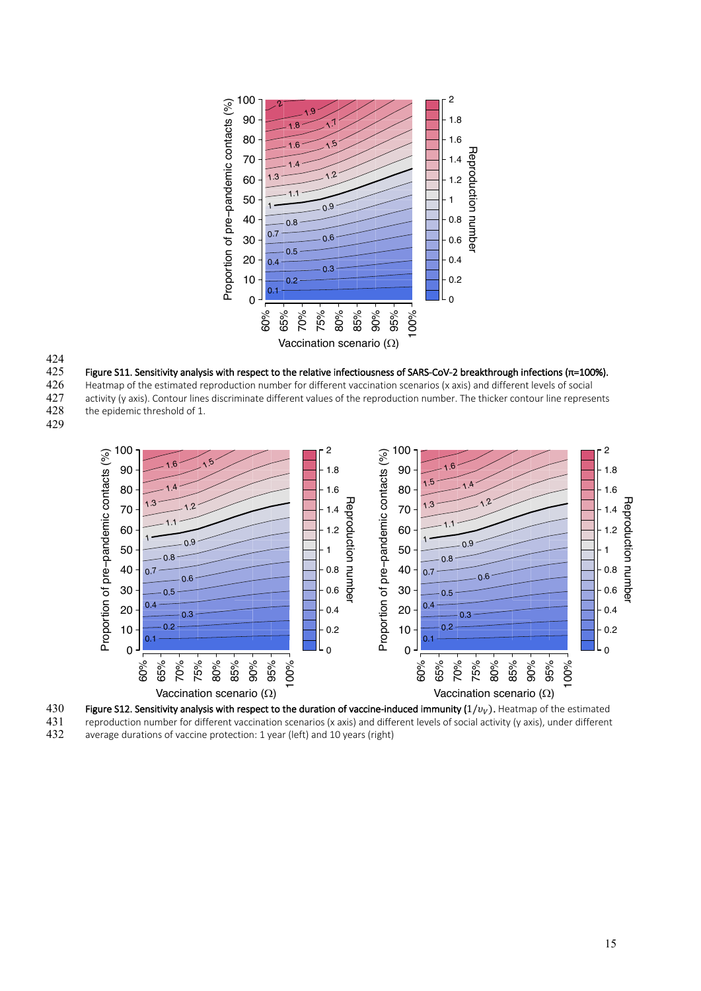

424

425 Figure S11. Sensitivity analysis with respect to the relative infectiousness of SARS-CoV-2 breakthrough infections (π=100%).

426 Heatmap of the estimated reproduction number for different vaccination scenarios (x axis) and different levels of social<br>427 activity (y axis). Contour lines discriminate different values of the reproduction number. Th 427 activity (y axis). Contour lines discriminate different values of the reproduction number. The thicker contour line represents 428 the epidemic threshold of 1. the epidemic threshold of 1.



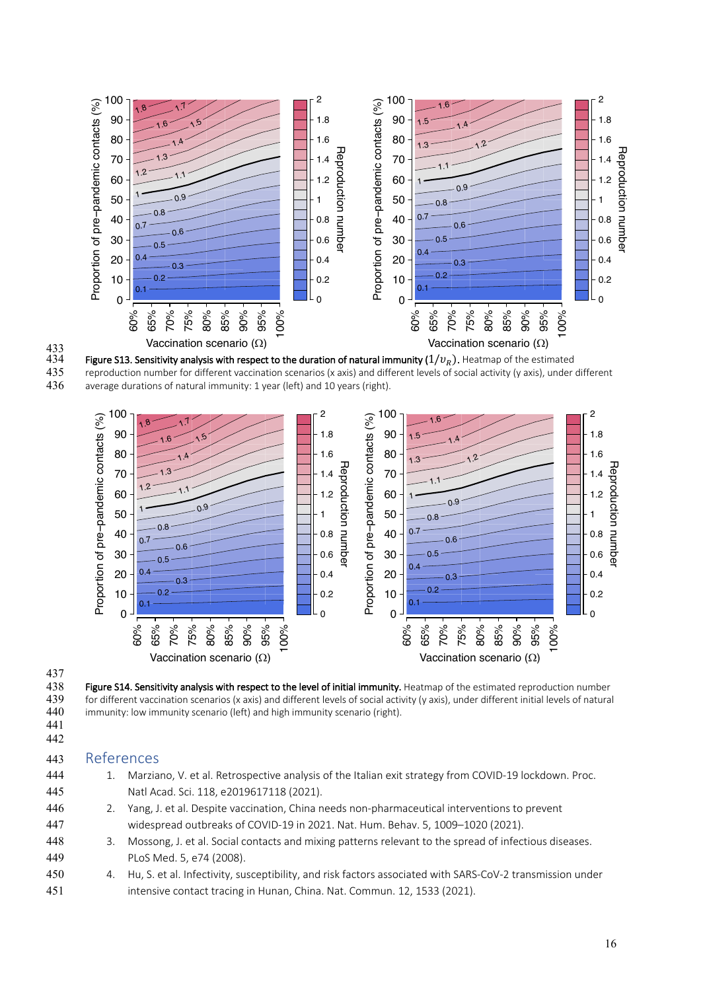

 $434$  Figure S13. Sensitivity analysis with respect to the duration of natural immunity ( $1/v_R$ ). Heatmap of the estimated 435 reproduction number for different vaccination scenarios (x axis) and different levels of social activity (y axis), under different 436 average durations of natural immunity: 1 year (left) and 10 years (right).



# 437<br>438

441 442

Figure S14. Sensitivity analysis with respect to the level of initial immunity. Heatmap of the estimated reproduction number 439 for different vaccination scenarios (x axis) and different levels of social activity (y axis), under different initial levels of natural 440 immunity: low immunity scenario (left) and high immunity scenario (right).

## 443 References

- 444 1. Marziano, V. et al. Retrospective analysis of the Italian exit strategy from COVID-19 lockdown. Proc. 445 Natl Acad. Sci. 118, e2019617118 (2021). 446 2. Yang, J. et al. Despite vaccination, China needs non-pharmaceutical interventions to prevent 447 widespread outbreaks of COVID-19 in 2021. Nat. Hum. Behav. 5, 1009–1020 (2021).
- 448 3. Mossong, J. et al. Social contacts and mixing patterns relevant to the spread of infectious diseases. 449 PLoS Med. 5, e74 (2008).
- 450 4. Hu, S. et al. Infectivity, susceptibility, and risk factors associated with SARS-CoV-2 transmission under 451 intensive contact tracing in Hunan, China. Nat. Commun. 12, 1533 (2021).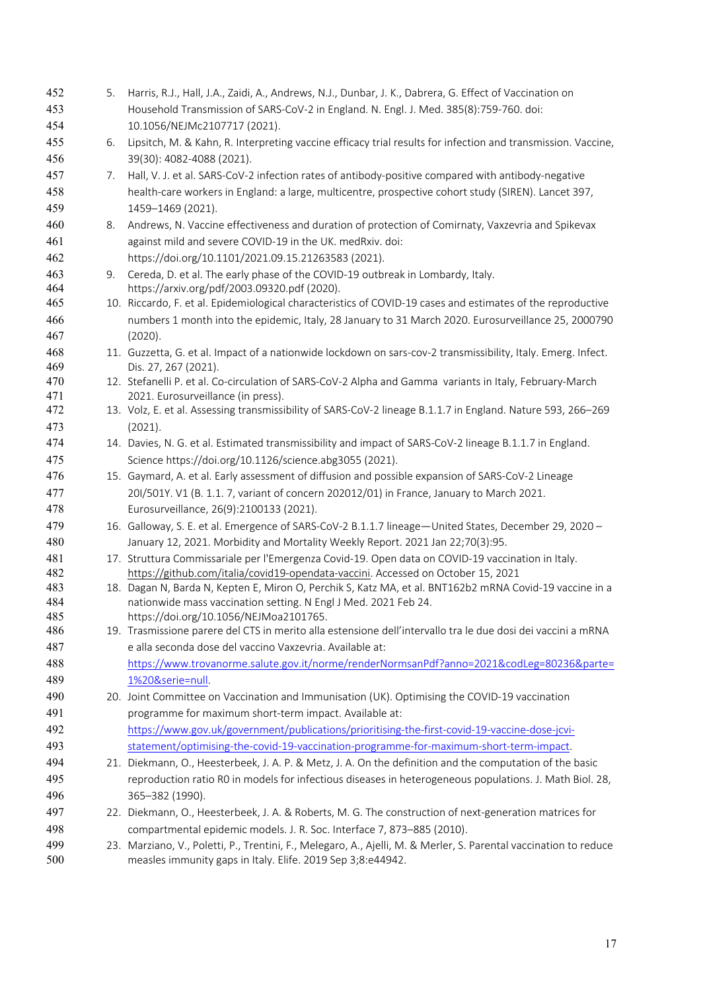| 452        | 5. | Harris, R.J., Hall, J.A., Zaidi, A., Andrews, N.J., Dunbar, J. K., Dabrera, G. Effect of Vaccination on                                            |
|------------|----|----------------------------------------------------------------------------------------------------------------------------------------------------|
| 453        |    | Household Transmission of SARS-CoV-2 in England. N. Engl. J. Med. 385(8):759-760. doi:                                                             |
| 454        |    | 10.1056/NEJMc2107717 (2021).                                                                                                                       |
| 455        | 6. | Lipsitch, M. & Kahn, R. Interpreting vaccine efficacy trial results for infection and transmission. Vaccine,                                       |
| 456        |    | 39(30): 4082-4088 (2021).                                                                                                                          |
| 457        | 7. | Hall, V. J. et al. SARS-CoV-2 infection rates of antibody-positive compared with antibody-negative                                                 |
| 458        |    | health-care workers in England: a large, multicentre, prospective cohort study (SIREN). Lancet 397,                                                |
| 459        |    | 1459-1469 (2021).                                                                                                                                  |
| 460        | 8. | Andrews, N. Vaccine effectiveness and duration of protection of Comirnaty, Vaxzevria and Spikevax                                                  |
| 461        |    | against mild and severe COVID-19 in the UK. medRxiv. doi:                                                                                          |
| 462        |    | https://doi.org/10.1101/2021.09.15.21263583 (2021).                                                                                                |
| 463        | 9. | Cereda, D. et al. The early phase of the COVID-19 outbreak in Lombardy, Italy.                                                                     |
| 464        |    | https://arxiv.org/pdf/2003.09320.pdf (2020).                                                                                                       |
| 465        |    | 10. Riccardo, F. et al. Epidemiological characteristics of COVID-19 cases and estimates of the reproductive                                        |
| 466        |    | numbers 1 month into the epidemic, Italy, 28 January to 31 March 2020. Eurosurveillance 25, 2000790                                                |
| 467        |    | (2020).                                                                                                                                            |
| 468        |    | 11. Guzzetta, G. et al. Impact of a nationwide lockdown on sars-cov-2 transmissibility, Italy. Emerg. Infect.                                      |
| 469        |    | Dis. 27, 267 (2021).                                                                                                                               |
| 470        |    | 12. Stefanelli P. et al. Co-circulation of SARS-CoV-2 Alpha and Gamma variants in Italy, February-March                                            |
| 471<br>472 |    | 2021. Eurosurveillance (in press).<br>13. Volz, E. et al. Assessing transmissibility of SARS-CoV-2 lineage B.1.1.7 in England. Nature 593, 266-269 |
| 473        |    | (2021).                                                                                                                                            |
| 474        |    | 14. Davies, N. G. et al. Estimated transmissibility and impact of SARS-CoV-2 lineage B.1.1.7 in England.                                           |
| 475        |    | Science https://doi.org/10.1126/science.abg3055 (2021).                                                                                            |
| 476        |    | 15. Gaymard, A. et al. Early assessment of diffusion and possible expansion of SARS-CoV-2 Lineage                                                  |
| 477        |    | 201/501Y. V1 (B. 1.1. 7, variant of concern 202012/01) in France, January to March 2021.                                                           |
| 478        |    | Eurosurveillance, 26(9):2100133 (2021).                                                                                                            |
| 479        |    | 16. Galloway, S. E. et al. Emergence of SARS-CoV-2 B.1.1.7 lineage-United States, December 29, 2020 -                                              |
| 480        |    | January 12, 2021. Morbidity and Mortality Weekly Report. 2021 Jan 22;70(3):95.                                                                     |
| 481        |    | 17. Struttura Commissariale per l'Emergenza Covid-19. Open data on COVID-19 vaccination in Italy.                                                  |
| 482        |    | https://github.com/italia/covid19-opendata-vaccini. Accessed on October 15, 2021                                                                   |
| 483        |    | 18. Dagan N, Barda N, Kepten E, Miron O, Perchik S, Katz MA, et al. BNT162b2 mRNA Covid-19 vaccine in a                                            |
| 484        |    | nationwide mass vaccination setting. N Engl J Med. 2021 Feb 24.                                                                                    |
| 485        |    | https://doi.org/10.1056/NEJMoa2101765.                                                                                                             |
| 486        |    | 19. Trasmissione parere del CTS in merito alla estensione dell'intervallo tra le due dosi dei vaccini a mRNA                                       |
| 487        |    | e alla seconda dose del vaccino Vaxzevria. Available at:                                                                                           |
| 488        |    | https://www.trovanorme.salute.gov.it/norme/renderNormsanPdf?anno=2021&codLeg=80236&parte=                                                          |
| 489        |    | 1%20&serie=null.                                                                                                                                   |
| 490        |    | 20. Joint Committee on Vaccination and Immunisation (UK). Optimising the COVID-19 vaccination                                                      |
| 491        |    | programme for maximum short-term impact. Available at:                                                                                             |
| 492        |    | https://www.gov.uk/government/publications/prioritising-the-first-covid-19-vaccine-dose-jcvi-                                                      |
| 493        |    | statement/optimising-the-covid-19-vaccination-programme-for-maximum-short-term-impact.                                                             |
| 494        |    | 21. Diekmann, O., Heesterbeek, J. A. P. & Metz, J. A. On the definition and the computation of the basic                                           |
| 495        |    | reproduction ratio R0 in models for infectious diseases in heterogeneous populations. J. Math Biol. 28,                                            |
| 496        |    | 365-382 (1990).                                                                                                                                    |
| 497        |    | 22. Diekmann, O., Heesterbeek, J. A. & Roberts, M. G. The construction of next-generation matrices for                                             |
| 498        |    | compartmental epidemic models. J. R. Soc. Interface 7, 873-885 (2010).                                                                             |
| 499        |    | 23. Marziano, V., Poletti, P., Trentini, F., Melegaro, A., Ajelli, M. & Merler, S. Parental vaccination to reduce                                  |
| 500        |    | measles immunity gaps in Italy. Elife. 2019 Sep 3;8:e44942.                                                                                        |